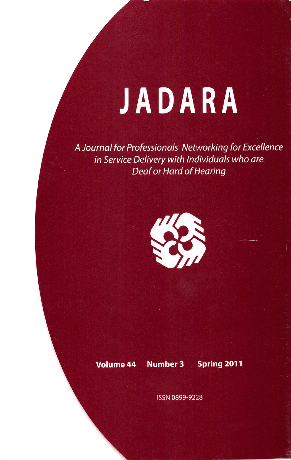## JADARA

A Journal for Professionals Networking for Excellence in Service Delivery with Individuals who are Deaf or Hard of Hearing



Volume 44 Number 3 Spring 2011

ISSN 0899-9228